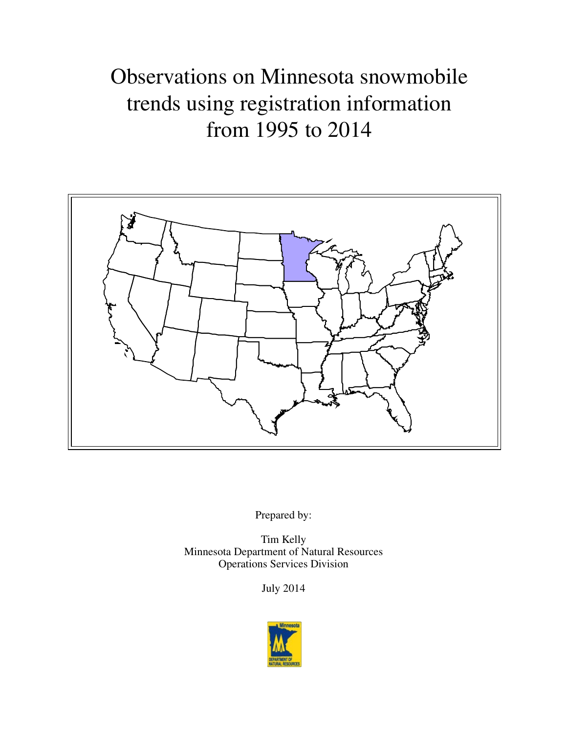# Observations on Minnesota snowmobile trends using registration information from 1995 to 2014



Prepared by:

Tim Kelly Minnesota Department of Natural Resources Operations Services Division

July 2014

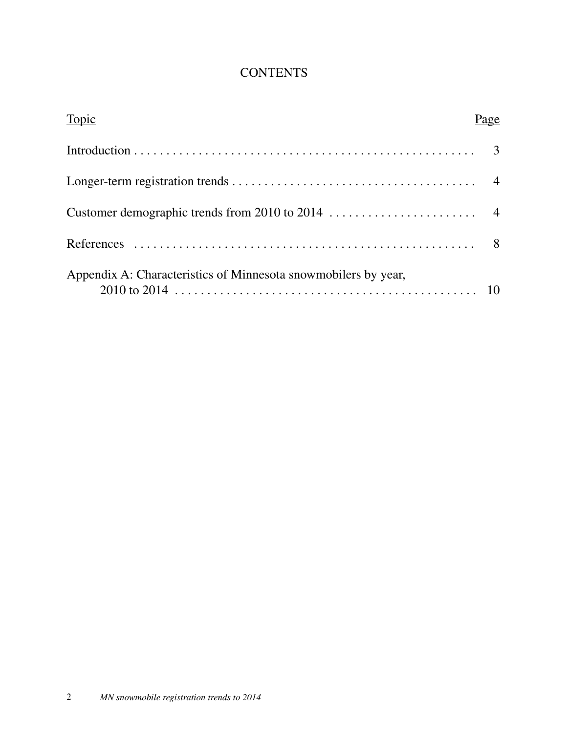# **CONTENTS**

| Topic                                                          | 'age |
|----------------------------------------------------------------|------|
|                                                                |      |
|                                                                |      |
|                                                                |      |
|                                                                |      |
| Appendix A: Characteristics of Minnesota snowmobilers by year, |      |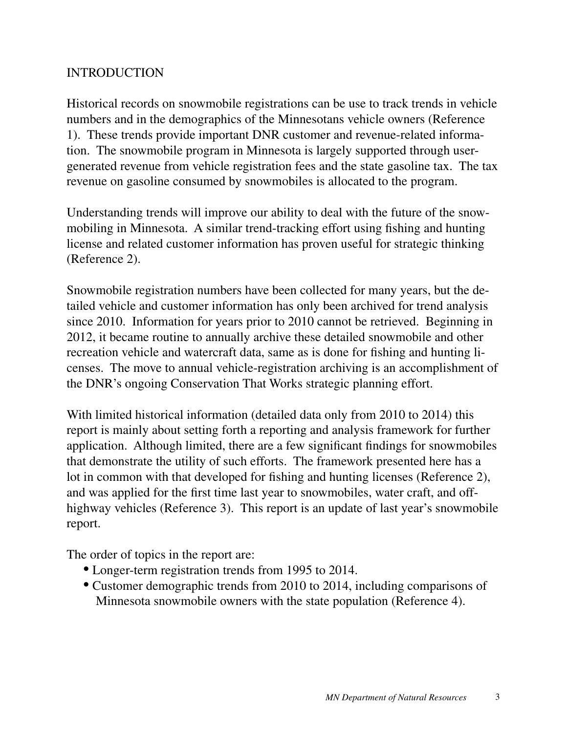### INTRODUCTION

Historical records on snowmobile registrations can be use to track trends in vehicle numbers and in the demographics of the Minnesotans vehicle owners (Reference 1). These trends provide important DNR customer and revenue-related information. The snowmobile program in Minnesota is largely supported through usergenerated revenue from vehicle registration fees and the state gasoline tax. The tax revenue on gasoline consumed by snowmobiles is allocated to the program.

Understanding trends will improve our ability to deal with the future of the snowmobiling in Minnesota. A similar trend-tracking effort using fishing and hunting license and related customer information has proven useful for strategic thinking (Reference 2).

Snowmobile registration numbers have been collected for many years, but the detailed vehicle and customer information has only been archived for trend analysis since 2010. Information for years prior to 2010 cannot be retrieved. Beginning in 2012, it became routine to annually archive these detailed snowmobile and other recreation vehicle and watercraft data, same as is done for fishing and hunting licenses. The move to annual vehicle-registration archiving is an accomplishment of the DNR's ongoing Conservation That Works strategic planning effort.

With limited historical information (detailed data only from 2010 to 2014) this report is mainly about setting forth a reporting and analysis framework for further application. Although limited, there are a few significant findings for snowmobiles that demonstrate the utility of such efforts. The framework presented here has a lot in common with that developed for fishing and hunting licenses (Reference 2), and was applied for the first time last year to snowmobiles, water craft, and offhighway vehicles (Reference 3). This report is an update of last year's snowmobile report.

The order of topics in the report are:

- Longer-term registration trends from 1995 to 2014.
- Customer demographic trends from 2010 to 2014, including comparisons of Minnesota snowmobile owners with the state population (Reference 4).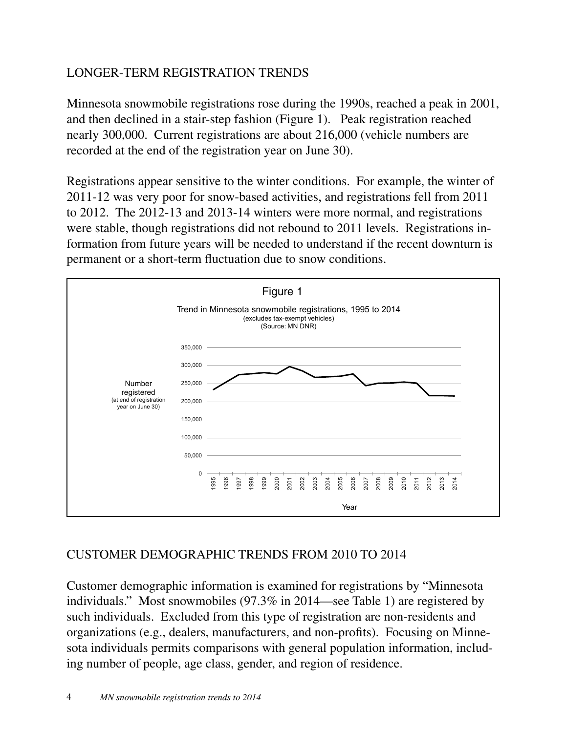# LONGER-TERM REGISTRATION TRENDS

Minnesota snowmobile registrations rose during the 1990s, reached a peak in 2001, and then declined in a stair-step fashion (Figure 1). Peak registration reached nearly 300,000. Current registrations are about 216,000 (vehicle numbers are recorded at the end of the registration year on June 30).

Registrations appear sensitive to the winter conditions. For example, the winter of 2011-12 was very poor for snow-based activities, and registrations fell from 2011 to 2012. The 2012-13 and 2013-14 winters were more normal, and registrations were stable, though registrations did not rebound to 2011 levels. Registrations information from future years will be needed to understand if the recent downturn is permanent or a short-term fluctuation due to snow conditions.



# CUSTOMER DEMOGRAPHIC TRENDS FROM 2010 TO 2014

Customer demographic information is examined for registrations by "Minnesota individuals." Most snowmobiles (97.3% in 2014—see Table 1) are registered by such individuals. Excluded from this type of registration are non-residents and organizations (e.g., dealers, manufacturers, and non-profits). Focusing on Minnesota individuals permits comparisons with general population information, including number of people, age class, gender, and region of residence.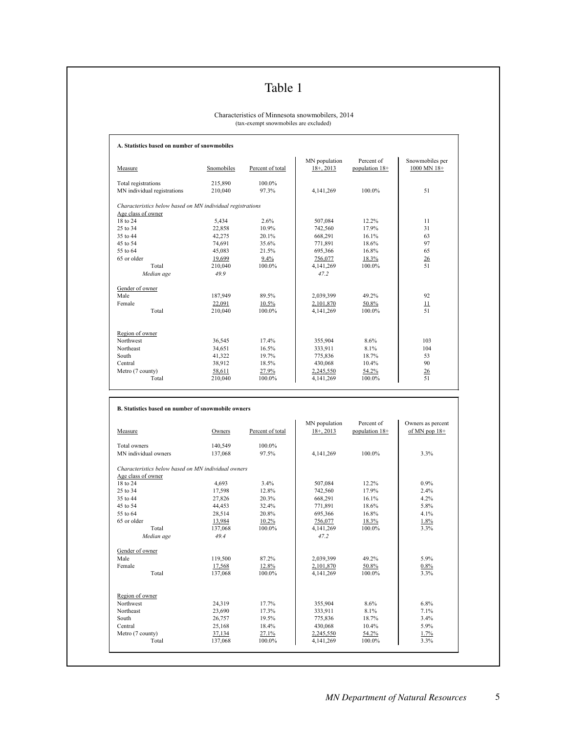# Table 1

#### Characteristics of Minnesota snowmobilers, 2014 (tax-exempt snowmobiles are excluded)

| Measure                                                    | Snomobiles | Percent of total | MN population<br>$18+$ , 2013 | Percent of<br>population 18+ | Snowmobiles per<br>1000 MN 18+ |
|------------------------------------------------------------|------------|------------------|-------------------------------|------------------------------|--------------------------------|
| Total registrations                                        | 215,890    | 100 0%           |                               |                              |                                |
| MN individual registrations                                | 210.040    | 97.3%            | 4,141,269                     | 100.0%                       | 51                             |
| Characteristics below based on MN individual registrations |            |                  |                               |                              |                                |
| Age class of owner                                         |            |                  |                               |                              |                                |
| 18 to 24                                                   | 5,434      | 2.6%             | 507,084                       | 12.2%                        | 11                             |
| 25 to 34                                                   | 22,858     | 10.9%            | 742,560                       | 17.9%                        | 31                             |
| 35 to 44                                                   | 42,275     | 20.1%            | 668,291                       | 16.1%                        | 63                             |
| 45 to 54                                                   | 74,691     | 35.6%            | 771,891                       | 18.6%                        | 97                             |
| 55 to 64                                                   | 45,083     | 21.5%            | 695,366                       | 16.8%                        | 65                             |
| 65 or older                                                | 19.699     | 9.4%             | 756.077                       | 18.3%                        | 26                             |
| Total                                                      | 210.040    | 100.0%           | 4,141,269                     | 100.0%                       | 51                             |
| Median age                                                 | 49.9       |                  | 47.2                          |                              |                                |
| Gender of owner                                            |            |                  |                               |                              |                                |
| Male                                                       | 187,949    | 89.5%            | 2,039,399                     | 49.2%                        | 92                             |
| Female                                                     | 22,091     | 10.5%            | 2,101,870                     | 50.8%                        | 11                             |
| Total                                                      | 210,040    | 100.0%           | 4,141,269                     | 100.0%                       | 51                             |
| Region of owner                                            |            |                  |                               |                              |                                |
| Northwest                                                  | 36,545     | 17.4%            | 355,904                       | 8.6%                         | 103                            |
| Northeast                                                  | 34,651     | 16.5%            | 333,911                       | 8.1%                         | 104                            |
| South                                                      | 41,322     | 19.7%            | 775,836                       | 18.7%                        | 53                             |
| Central                                                    | 38,912     | 18.5%            | 430,068                       | 10.4%                        | 90                             |
| Metro (7 county)                                           | 58,611     | 27.9%            | 2.245.550                     | 54.2%                        | 26                             |
| Total                                                      | 210,040    | 100.0%           | 4,141,269                     | 100.0%                       | 51                             |

| Measure                                             | Owners  | Percent of total | MN population<br>$18 + 2013$ | Percent of<br>population 18+ | Owners as percent<br>of MN pop $18+$ |
|-----------------------------------------------------|---------|------------------|------------------------------|------------------------------|--------------------------------------|
| Total owners                                        | 140,549 | 100.0%           |                              |                              |                                      |
| MN individual owners                                | 137,068 | 97.5%            | 4.141.269                    | 100.0%                       | 3.3%                                 |
| Characteristics below based on MN individual owners |         |                  |                              |                              |                                      |
| Age class of owner                                  |         |                  |                              |                              |                                      |
| 18 to 24                                            | 4,693   | 3.4%             | 507,084                      | $12.2\%$                     | 0.9%                                 |
| 25 to 34                                            | 17,598  | 12.8%            | 742,560                      | 17.9%                        | 2.4%                                 |
| 35 to 44                                            | 27,826  | 20.3%            | 668,291                      | 16.1%                        | 4.2%                                 |
| 45 to 54                                            | 44.453  | 32.4%            | 771,891                      | 18.6%                        | 5.8%                                 |
| 55 to 64                                            | 28,514  | 20.8%            | 695,366                      | 16.8%                        | 4.1%                                 |
| 65 or older                                         | 13,984  | 10.2%            | 756,077                      | 18.3%                        | 1.8%                                 |
| Total                                               | 137,068 | 100.0%           | 4,141,269                    | 100.0%                       | 3.3%                                 |
| Median age                                          | 49.4    |                  | 47.2                         |                              |                                      |
| Gender of owner                                     |         |                  |                              |                              |                                      |
| Male                                                | 119,500 | 87.2%            | 2,039,399                    | 49.2%                        | 5.9%                                 |
| Female                                              | 17,568  | 12.8%            | 2,101,870                    | 50.8%                        | 0.8%                                 |
| Total                                               | 137,068 | 100.0%           | 4,141,269                    | 100.0%                       | 3.3%                                 |
| Region of owner                                     |         |                  |                              |                              |                                      |
| <b>Northwest</b>                                    | 24,319  | 17.7%            | 355,904                      | 8.6%                         | 6.8%                                 |
| Northeast                                           | 23,690  | 17.3%            | 333,911                      | 8.1%                         | 7.1%                                 |
| South                                               | 26,757  | 19.5%            | 775,836                      | 18.7%                        | 3.4%                                 |
| Central                                             | 25,168  | 18.4%            | 430,068                      | $10.4\%$                     | 5.9%                                 |
| Metro (7 county)                                    | 37,134  | 27.1%            | 2,245,550                    | 54.2%                        | 1.7%                                 |
| Total                                               | 137,068 | 100.0%           | 4,141,269                    | 100.0%                       | 3.3%                                 |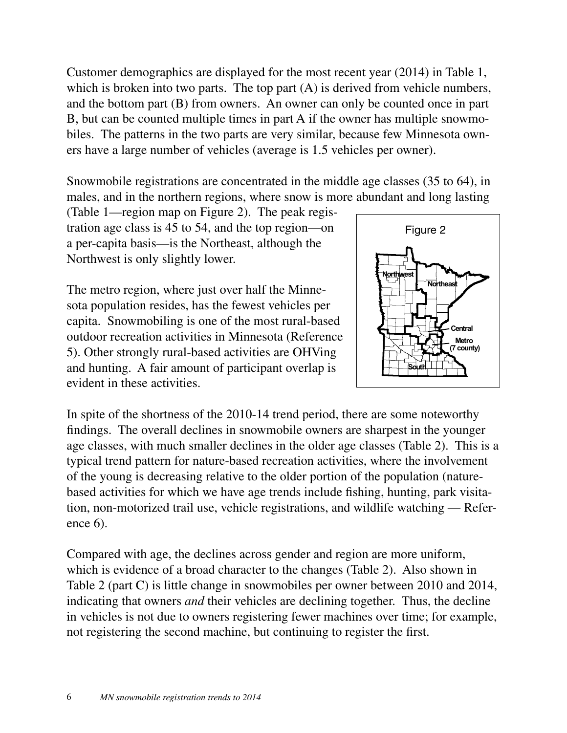Customer demographics are displayed for the most recent year (2014) in Table 1, which is broken into two parts. The top part  $(A)$  is derived from vehicle numbers, and the bottom part (B) from owners. An owner can only be counted once in part B, but can be counted multiple times in part A if the owner has multiple snowmobiles. The patterns in the two parts are very similar, because few Minnesota owners have a large number of vehicles (average is 1.5 vehicles per owner).

Snowmobile registrations are concentrated in the middle age classes (35 to 64), in males, and in the northern regions, where snow is more abundant and long lasting

(Table 1—region map on Figure 2). The peak registration age class is 45 to 54, and the top region—on a per-capita basis—is the Northeast, although the Northwest is only slightly lower.

The metro region, where just over half the Minnesota population resides, has the fewest vehicles per capita. Snowmobiling is one of the most rural-based outdoor recreation activities in Minnesota (Reference 5). Other strongly rural-based activities are OHVing and hunting. A fair amount of participant overlap is evident in these activities.



In spite of the shortness of the 2010-14 trend period, there are some noteworthy findings. The overall declines in snowmobile owners are sharpest in the younger age classes, with much smaller declines in the older age classes (Table 2). This is a typical trend pattern for nature-based recreation activities, where the involvement of the young is decreasing relative to the older portion of the population (naturebased activities for which we have age trends include fishing, hunting, park visitation, non-motorized trail use, vehicle registrations, and wildlife watching — Reference 6).

Compared with age, the declines across gender and region are more uniform, which is evidence of a broad character to the changes (Table 2). Also shown in Table 2 (part C) is little change in snowmobiles per owner between 2010 and 2014, indicating that owners *and* their vehicles are declining together. Thus, the decline in vehicles is not due to owners registering fewer machines over time; for example, not registering the second machine, but continuing to register the first.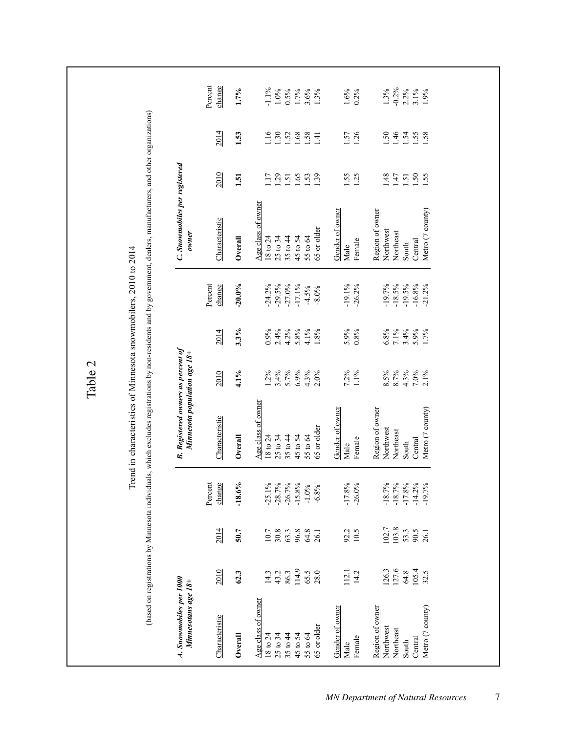Percent change Percent Percent Percent  $1.7%$  $-1.1\%$ <br>  $1.0\%$ <br>  $0.5\%$ <br>  $1.7\%$ <br>  $3.6\%$ <br>  $1.3\%$  $\frac{1.6\%}{0.2\%}$  $1.3%$ <br>-0.2%  $2.2\%$ <br>  $3.1\%$ <br>  $1.9\%$ Characteristic 2010 2014 change Characteristic 2010 2014 change Characteristic 2010 2014 change 18 to 24 14.3 10.7 1.25.1% | 18 to 24 1.2% 0.9% | 24.2% | 18 to 24 1.17 1.16 1.1.11 1.16 Northeast 127.6 127.6 18.7% -18.7% -18.7% -18.7% -18.5% -18.5% -18.5% -18.5% -18.5% -1.46 -0.2% **Overall 62.3 50.7 -18.6% Overall 4.1% 3.3% -20.0% Overall 1.51 1.53 1.7%** 25 to 34 43.2 30.8 -28.7% 25 to 34 3.4% 2.4% -29.5% 25 to 34 1.29 1.30 1.0% 35 to 44 86.3 63.3 -26.7% 35 to 44 5.7% 4.2% -27.0% 35 to 44 1.51 1.52 0.5% 45 to 54 1.14.9 96.8 96.8 -15.8% -1.5.8% 5.8% 5.8% 5.8% -17.1% -1.7.1% -1.45 to 54 1.65 1.68 1.68 1.68 1.7% 55.1 65.5 64.8 -1.0% -1.0% -1.0% -1.0% -4.3% -4.3% -4.5% -1.53 1.53 1.58 1.58 3.6% 65 or older 28.0 26.1 -6.8% -6.8% -6.8% -6.8% -6.8% -6.8% -6.8% -6.8% -6.8% -6.8% -8.0% -6.80% -6.80 1.3% -6.8 Male 112.1 92.2 -17.8% | Male 7.2% 5.9% 5.9% | Male | Male 1.55 1.57 1.35 Female 14.2 10.5 -26.0% | Female 1.1% 0.8% 0.8% | Female | Female 1.25 1.25 1.26 0.2% Northwest 148 148 148 148 1.83 1.63 1.82.7 -18.7% 1.82% 6.8% 6.8% 6.8% 6.8% 6.8% -19.7% -19.7% Northwest 1.60 1 South 64.8 53.3 -17.8% -17.8% -1.8% 3.4% -1.51 -1.51 1.51 1.54 2.2% 53.3 -19.5 1.54 2.2% Central 1.5.5 1.9.5 -14.2% Central Central Central Central 1.55 3.9% 5.9% 5.9% 5.9% 7.0% 7.0% 1.41.2 Metro (7 county) 32.5 26.1 -26.1 -21.19.7% -2.19.7% -2.1.2% -2.1.2% -2.1.2% -2.1.2% -2.1.2% -2.1.2% -2.1.2% -2<br>Metro (7 county) 32.5 26.1 -2.1.2% -2.1.2% -2.1.2% -2.1.2% -2.1.2% -2.1.2% -2.1.2% -2.1.2% -2.1.2% -2.1.2% -2. (based on registrations by Minnesota individuals, which excludes registrations by non-residents and by government, dealers, manufacturers, and other organizations) (based on registrations by Minnesota individuals, which excludes registrations by non-residents and by government, dealers, manufacturers, and other organizations)  $2014$ 1.53  $\begin{array}{c} 1.50 \\ 1.30 \\ 1.52 \\ 1.68 \\ 1.41 \\ \hline \end{array}$ 1.57<br>1.26  $1.50$ <br> $1.45$ <br> $1.58$ <br> $1.58$ C. Snowmobiles per registered *C. Snowmobiles per registered* 2010  $\begin{array}{c} 17 \\ 13 \\ 15 \\ 16 \\ 18 \\ 13 \\ 2 \end{array}$  $1.55$ <br> $1.25$  $147$ <br> $150$ <br> $150$ <br> $15$ <br> $15$ 1.51 Age class of owner Age class of owner  $\overline{A}$  class of owner Age class of owner  $\overline{A}$  class of owner  $\overline{A}$  age class of owner Metro (7 county) Region of owner Gender of owner Gender of owner Gender of owner Gender of owner Gender of owner Gender of owner Gender of owner Region of owner Region of owner Region of owner Region of owner Region of owner Characteristic 65 or older Northwest Northeast  $35$  to 44<br>45 to 54<br>55 to 64 owner  *Minnesotans age 18+ Minnesota population age 18+ owner*  $18$  to  $24\,$ 25 to 34 Overall Female Central South Male Trend in characteristics of Minnesota snowmobilers, 2010 to 2014 Trend in characteristics of Minnesota snowmobilers, 2010 to 2014  $-24.2%$ <br> $-29.5%$  $-27.0%$  $-19.7%$ <br> $-18.5%$  $-19.5%$ Percent change  $-20.0\%$  $-17.1%$  $-4.5\%$ <br> $-8.0\%$  $-19.1\%$ <br> $-26.2\%$  $-16.8%$  $-21.2%$  $3.3%$  $5.9\%$ <br>0.8%  $2.4%$  $4.2%$ <br>  $5.8%$ <br>  $4.1%$ <br>  $1.8%$ <br>  $1.8%$  $6.8%$ <br>7.1%  $3.4%$ <br> $5.9%$ <br> $1.7%$  $2014$  $0.9\%$ **B.** Registered owners as percent of *A. Snowmobiles per 1000 B. Registered owners as percent of* Minnesota population age 18+ Table 24.1%  $1.2%$ <br>  $3.4%$ <br>  $5.7%$ <br>  $6.9%$ <br>  $4.3%$ <br>  $2.0%$ 7.2%<br>1.1%  $4.3%$ 2010  $8.5\%$ <br>8.7%  $7.0\%$  $2.1\%$ Age class of owner Metro (7 county) Gender of owner Region of owner Characteristic 65 or older Northwest Northeast 25 to 34 45 to 54 18 to 24 35 to 44 55 to 64 Overall Central Female South Male  $-18.6%$  $-28.7%$ change  $-25.1%$  $-26.7%$  $-15.8%$  $-1.0%$  $-17.8%$ <br> $-26.0%$  $-18.7%$  $-18.7%$  $-17.8%$  $-14.2%$  $-19.7%$ Percent  $-6.8%$  $102.7$ <br> $103.8$ 2014 50.7 63.3<br>96.8  $64.8$ <br>26.1 92.2<br>10.5 53.3 90.5<br>26.1  $\frac{10.7}{30.8}$ 2010  $\frac{114.9}{65.5}$  $126.3$ <br> $127.6$ 64.8<br>105.4<br>32.5 62.3 14.3 43.2 86.3 112.1<br>14.2 A. Snowmobiles per 1000 Minnesotans age 18+ Age class of owner Metro (7 county) Gender of owner Region of owner Characteristic 65 or older Northwest Northeast 18 to 24 25 to 34 35 to 44 45 to 54 55 to 64 Overall Female Central Male South

7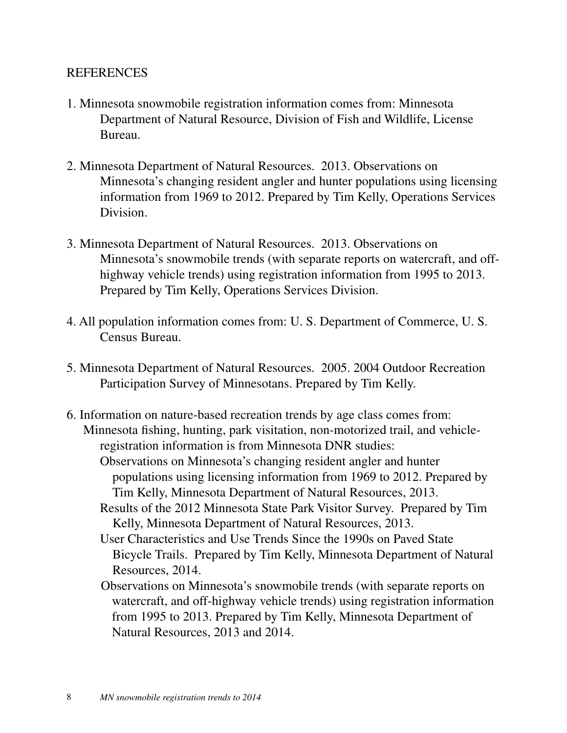#### REFERENCES

- 1. Minnesota snowmobile registration information comes from: Minnesota Department of Natural Resource, Division of Fish and Wildlife, License Bureau.
- 2. Minnesota Department of Natural Resources. 2013. Observations on Minnesota's changing resident angler and hunter populations using licensing information from 1969 to 2012. Prepared by Tim Kelly, Operations Services Division.
- 3. Minnesota Department of Natural Resources. 2013. Observations on Minnesota's snowmobile trends (with separate reports on watercraft, and offhighway vehicle trends) using registration information from 1995 to 2013. Prepared by Tim Kelly, Operations Services Division.
- 4. All population information comes from: U. S. Department of Commerce, U. S. Census Bureau.
- 5. Minnesota Department of Natural Resources. 2005. 2004 Outdoor Recreation Participation Survey of Minnesotans. Prepared by Tim Kelly.
- 6. Information on nature-based recreation trends by age class comes from: Minnesota fishing, hunting, park visitation, non-motorized trail, and vehicleregistration information is from Minnesota DNR studies:
	- Observations on Minnesota's changing resident angler and hunter populations using licensing information from 1969 to 2012. Prepared by Tim Kelly, Minnesota Department of Natural Resources, 2013.
	- Results of the 2012 Minnesota State Park Visitor Survey. Prepared by Tim Kelly, Minnesota Department of Natural Resources, 2013.
	- User Characteristics and Use Trends Since the 1990s on Paved State Bicycle Trails. Prepared by Tim Kelly, Minnesota Department of Natural Resources, 2014.
	- Observations on Minnesota's snowmobile trends (with separate reports on watercraft, and off-highway vehicle trends) using registration information from 1995 to 2013. Prepared by Tim Kelly, Minnesota Department of Natural Resources, 2013 and 2014.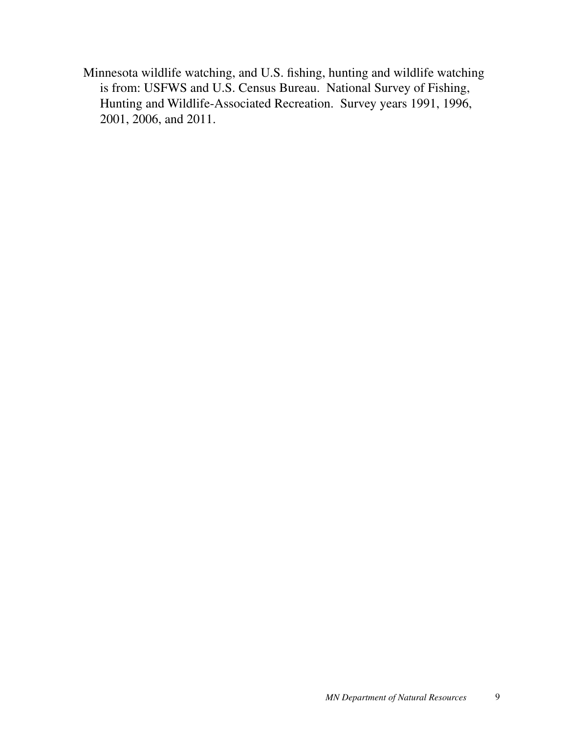Minnesota wildlife watching, and U.S. fishing, hunting and wildlife watching is from: USFWS and U.S. Census Bureau. National Survey of Fishing, Hunting and Wildlife-Associated Recreation. Survey years 1991, 1996, 2001, 2006, and 2011.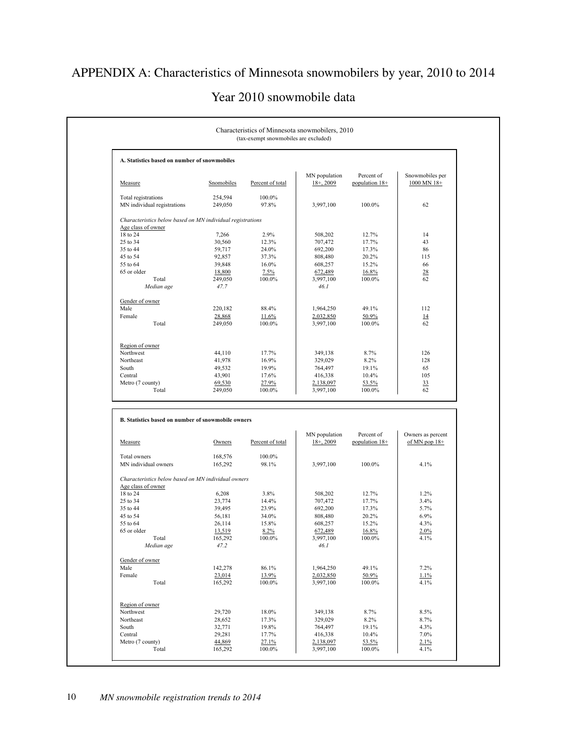# APPENDIX A: Characteristics of Minnesota snowmobilers by year, 2010 to 2014

#### Year 2010 snowmobile data

| A. Statistics based on number of snowmobiles               |                   |                  |                        |                 |                   |
|------------------------------------------------------------|-------------------|------------------|------------------------|-----------------|-------------------|
|                                                            |                   |                  | MN population          | Percent of      | Snowmobiles per   |
| Measure                                                    | Snomobiles        | Percent of total | $18 + 2009$            | population 18+  | $1000$ MN $18+$   |
| Total registrations                                        | 254,594           | 100.0%           |                        |                 |                   |
| MN individual registrations                                | 249,050           | 97.8%            | 3,997,100              | 100.0%          | 62                |
| Characteristics below based on MN individual registrations |                   |                  |                        |                 |                   |
| Age class of owner                                         |                   |                  |                        |                 |                   |
| 18 to 24                                                   | 7,266             | 2.9%             | 508,202                | 12.7%           | 14                |
| 25 to 34                                                   | 30,560            | 12.3%            | 707,472                | 17.7%           | 43                |
| 35 to 44                                                   | 59,717            | 24.0%            | 692,200                | 17.3%           | 86                |
| 45 to 54                                                   | 92,857            | 37.3%            | 808,480                | 20.2%           | 115               |
| 55 to 64                                                   | 39,848            | 16.0%            | 608,257                | 15.2%           | 66                |
| 65 or older                                                | 18,800            | 7.5%             | 672,489                | 16.8%           | 28                |
| Total                                                      | 249,050           | 100.0%           | 3,997,100              | 100.0%          | 62                |
| Median age                                                 | 47.7              |                  | 46.1                   |                 |                   |
| Gender of owner                                            |                   |                  |                        |                 |                   |
| Male                                                       | 220,182           | 88.4%            | 1,964,250              | 49.1%           | 112               |
| Female                                                     | 28,868            | 11.6%            | 2,032,850              | 50.9%           | 14                |
| Total                                                      | 249,050           | 100.0%           | 3,997,100              | 100.0%          | 62                |
|                                                            |                   |                  |                        |                 |                   |
| Region of owner<br>Northwest                               | 44,110            | 17.7%            | 349,138                | 8.7%            | 126               |
| Northeast                                                  | 41,978            | 16.9%            | 329,029                | 8.2%            | 128               |
| South                                                      |                   |                  |                        |                 | 65                |
|                                                            | 49,532            | 19.9%            | 764,497                | 19.1%           |                   |
| Central                                                    | 43,901            | 17.6%            | 416,338                | 10.4%           | 105               |
| Metro (7 county)                                           | 69,530            | 27.9%            | 2,138,097              | 53.5%           | 33                |
| Total                                                      | 249,050           | 100.0%           | 3,997,100              | 100.0%          | 62                |
| B. Statistics based on number of snowmobile owners         |                   |                  | MN population          | Percent of      | Owners as percent |
| Measure                                                    | Owners            | Percent of total | $18+$ , 2009           | population 18+  | of MN pop $18+$   |
| Total owners                                               | 168,576           | 100.0%           |                        |                 |                   |
| MN individual owners                                       | 165,292           | 98.1%            | 3,997,100              | 100.0%          | 4.1%              |
| Characteristics below based on MN individual owners        |                   |                  |                        |                 |                   |
| Age class of owner                                         |                   |                  |                        |                 |                   |
| 18 to 24                                                   | 6,208             | 3.8%             | 508,202                | 12.7%           | 1.2%              |
| 25 to 34                                                   | 23,774            | 14.4%            | 707,472                | 17.7%           | 3.4%              |
| 35 to 44                                                   | 39,495            | 23.9%            | 692,200                | 17.3%           | 5.7%              |
| 45 to 54                                                   | 56,181            | 34.0%            | 808,480                | 20.2%           | 6.9%              |
| 55 to 64                                                   | 26,114            | 15.8%            | 608,257                | 15.2%           | 4.3%              |
| 65 or older                                                | 13,519            | 8.2%             | 672,489                | 16.8%           | 2.0%              |
| Total                                                      | 165,292           | 100.0%           | 3,997,100              | 100.0%          | 4.1%              |
| Median age                                                 | 47.2              |                  | 46.I                   |                 |                   |
| Gender of owner                                            |                   |                  |                        |                 |                   |
| Male                                                       | 142,278           | 86.1%            | 1,964,250              | 49.1%           | 7.2%              |
| Female                                                     | 23,014            | 13.9%            | 2,032,850              | 50.9%           | 1.1%              |
| Total                                                      | 165,292           | 100.0%           | 3,997,100              | 100.0%          | 4.1%              |
|                                                            |                   |                  |                        |                 |                   |
| Region of owner                                            |                   |                  |                        |                 |                   |
| Northwest                                                  | 29,720            | 18.0%            | 349,138                | 8.7%            | 8.5%              |
| Northeast                                                  | 28,652            | 17.3%            | 329,029                | 8.2%            | 8.7%              |
| South                                                      | 32,771            | 19.8%            | 764,497                | 19.1%           | 4.3%              |
| Central                                                    | 29,281            | 17.7%            | 416,338                | 10.4%           | 7.0%              |
| Metro (7 county)<br>Total                                  | 44,869<br>165,292 | 27.1%<br>100.0%  | 2,138,097<br>3,997,100 | 53.5%<br>100.0% | 2.1%<br>4.1%      |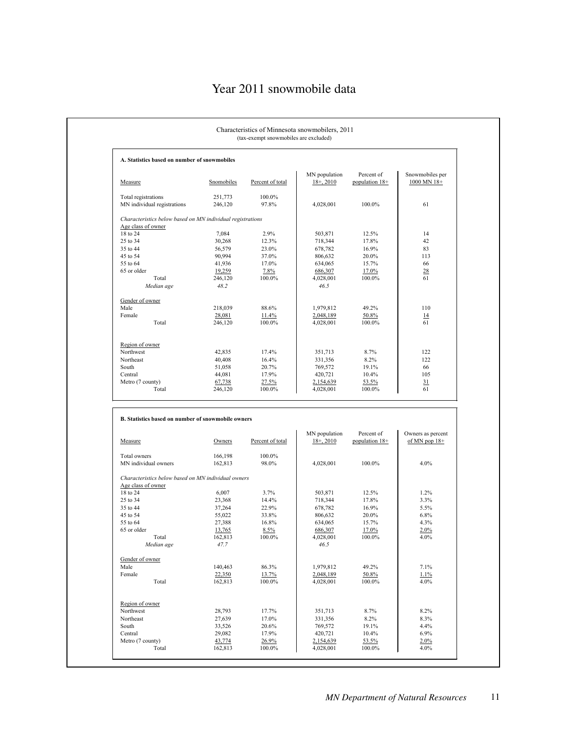# Year 2011 snowmobile data

|                                                               | (tax-exempt snowmobiles are excluded) |                  |                              |                              |                                      |
|---------------------------------------------------------------|---------------------------------------|------------------|------------------------------|------------------------------|--------------------------------------|
| A. Statistics based on number of snowmobiles                  |                                       |                  |                              |                              |                                      |
| Measure                                                       | Snomobiles                            | Percent of total | MN population<br>$18 + 2010$ | Percent of<br>population 18+ | Snowmobiles per<br>1000 MN 18+       |
| Total registrations<br>MN individual registrations            | 251,773<br>246,120                    | 100.0%<br>97.8%  | 4,028,001                    | 100.0%                       | 61                                   |
| Characteristics below based on MN individual registrations    |                                       |                  |                              |                              |                                      |
| Age class of owner                                            |                                       |                  |                              |                              |                                      |
| 18 to 24                                                      | 7,084                                 | 2.9%             | 503,871                      | 12.5%                        | 14                                   |
| 25 to 34                                                      | 30,268                                | 12.3%            | 718,344                      | 17.8%                        | 42                                   |
| 35 to 44                                                      | 56,579                                | 23.0%            | 678,782                      | 16.9%                        | 83                                   |
| 45 to 54                                                      | 90,994                                | 37.0%            | 806,632                      | 20.0%                        | 113                                  |
| 55 to 64                                                      | 41,936                                | 17.0%            | 634,065                      | 15.7%                        | 66                                   |
| 65 or older                                                   | 19,259                                | 7.8%             | 686,307                      | 17.0%                        | 28<br>61                             |
| Total<br>Median age                                           | 246,120<br>48.2                       | 100.0%           | 4,028,001<br>46.5            | 100.0%                       |                                      |
| Gender of owner                                               |                                       |                  |                              |                              |                                      |
| Male                                                          | 218,039                               | 88.6%            | 1,979,812                    | 49.2%                        | 110                                  |
| Female                                                        | 28,081                                | 11.4%            | 2,048,189                    | 50.8%                        | 14                                   |
| Total                                                         | 246,120                               | 100.0%           | 4,028,001                    | 100.0%                       | 61                                   |
| Region of owner                                               |                                       |                  |                              |                              |                                      |
| Northwest                                                     | 42,835                                | 17.4%            | 351,713                      | 8.7%                         | 122                                  |
| Northeast                                                     | 40,408                                | 16.4%            | 331,356                      | 8.2%                         | 122                                  |
| South                                                         | 51,058                                | 20.7%            | 769,572                      | 19.1%                        | 66                                   |
| Central                                                       | 44,081                                | 17.9%            | 420,721                      | 10.4%                        | 105                                  |
| Metro (7 county)                                              | 67,738                                | 27.5%            | 2,154,639                    | 53.5%                        | 31                                   |
| Total                                                         | 246,120                               | 100.0%           |                              |                              |                                      |
|                                                               |                                       |                  | 4,028,001                    | 100.0%                       | 61                                   |
|                                                               |                                       |                  |                              |                              |                                      |
| B. Statistics based on number of snowmobile owners<br>Measure | Owners                                | Percent of total | MN population<br>$18 + 2010$ | Percent of<br>population 18+ | Owners as percent<br>of MN pop $18+$ |
| Total owners                                                  | 166,198                               | 100.0%           |                              |                              |                                      |
| MN individual owners                                          | 162,813                               | 98.0%            | 4,028,001                    | 100.0%                       | 4.0%                                 |
| Characteristics below based on MN individual owners           |                                       |                  |                              |                              |                                      |
| Age class of owner                                            |                                       |                  |                              | 12.5%                        | 1.2%                                 |
|                                                               | 6,007<br>23,368                       | 3.7%<br>14.4%    | 503,871                      | 17.8%                        | 3.3%                                 |
| 18 to 24<br>25 to 34<br>35 to 44                              | 37,264                                | 22.9%            | 718,344<br>678,782           | 16.9%                        | 5.5%                                 |
|                                                               | 55,022                                | 33.8%            | 806,632                      | 20.0%                        | 6.8%                                 |
| 55 to 64                                                      |                                       | 16.8%            |                              |                              | 4.3%                                 |
| 45 to 54<br>65 or older                                       | 27,388                                |                  | 634,065                      | 15.7%                        |                                      |
|                                                               | 13,765                                | 8.5%             | 686,307                      | 17.0%                        | 2.0%                                 |
| Total<br>Median age                                           | 162,813<br>47.7                       | 100.0%           | 4,028,001<br>46.5            | 100.0%                       | 4.0%                                 |
|                                                               |                                       |                  |                              |                              |                                      |
|                                                               | 140,463                               | 86.3%            | 1,979,812                    | 49.2%                        | 7.1%                                 |
|                                                               | 22,350                                | 13.7%            | 2,048,189                    | 50.8%                        | 1.1%                                 |
| Gender of owner<br>Male<br>Female<br>Total                    | 162,813                               | 100.0%           | 4,028,001                    | 100.0%                       | 4.0%                                 |
| Region of owner                                               |                                       |                  |                              |                              |                                      |
| Northwest                                                     | 28,793                                | 17.7%            | 351,713                      | 8.7%                         | 8.2%                                 |
| Northeast                                                     | 27,639                                | 17.0%            | 331,356                      | 8.2%                         | 8.3%                                 |
| South                                                         | 33,526                                | 20.6%            | 769,572                      | 19.1%                        | 4.4%                                 |
| Central                                                       | 29,082                                | 17.9%            | 420,721                      | 10.4%                        | 6.9%                                 |
| Metro (7 county)                                              | 43,774                                | 26.9%            | 2,154,639                    | 53.5%                        | 2.0%                                 |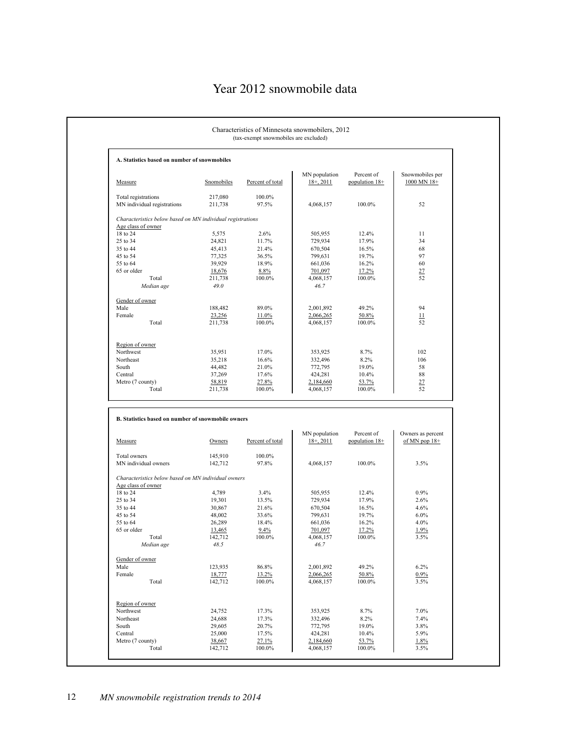# Year 2012 snowmobile data

| A. Statistics based on number of snowmobiles                                     |                    |                  |                               |                              |                                      |
|----------------------------------------------------------------------------------|--------------------|------------------|-------------------------------|------------------------------|--------------------------------------|
| Measure                                                                          | Snomobiles         | Percent of total | MN population<br>$18 + 2011$  | Percent of<br>population 18+ | Snowmobiles per<br>1000 MN 18+       |
| Total registrations<br>MN individual registrations                               | 217,080<br>211,738 | 100.0%<br>97.5%  | 4,068,157                     | 100.0%                       | 52                                   |
| Characteristics below based on MN individual registrations<br>Age class of owner |                    |                  |                               |                              |                                      |
| 18 to 24                                                                         | 5,575              | 2.6%             | 505,955                       | 12.4%                        | 11                                   |
| 25 to 34                                                                         | 24,821             | 11.7%            | 729,934                       | 17.9%                        | 34                                   |
| 35 to 44                                                                         | 45,413             | 21.4%            | 670,504                       | 16.5%                        | 68                                   |
| 45 to 54                                                                         | 77,325             | 36.5%            | 799,631                       | 19.7%                        | 97                                   |
| 55 to 64                                                                         | 39,929             | 18.9%            | 661,036                       | 16.2%                        | 60                                   |
| 65 or older                                                                      | 18,676             | 8.8%             | 701,097                       | 17.2%                        | 27                                   |
| Total                                                                            | 211,738            | 100.0%           | 4,068,157                     | 100.0%                       | 52                                   |
| Median age                                                                       | 49.0               |                  | 46.7                          |                              |                                      |
| Gender of owner                                                                  |                    |                  |                               |                              |                                      |
| Male                                                                             | 188,482            | 89.0%            | 2,001,892                     | 49.2%                        | 94                                   |
| Female                                                                           | 23,256             | 11.0%            | 2,066,265                     | 50.8%                        | $\overline{11}$                      |
| Total                                                                            | 211,738            | 100.0%           | 4,068,157                     | 100.0%                       | 52                                   |
| Region of owner                                                                  |                    |                  |                               |                              |                                      |
| Northwest                                                                        | 35,951             | 17.0%            | 353,925                       | 8.7%                         | 102                                  |
| Northeast                                                                        | 35,218             | 16.6%            | 332,496                       | 8.2%                         | 106                                  |
| South                                                                            | 44,482             | 21.0%            | 772,795                       | 19.0%                        | 58                                   |
| Central                                                                          | 37,269             | 17.6%            | 424,281                       | 10.4%                        | 88                                   |
| Metro (7 county)                                                                 | 58,819             | 27.8%            | 2,184,660                     | 53.7%                        | 27                                   |
| Total                                                                            |                    |                  |                               |                              |                                      |
|                                                                                  | 211,738            | 100.0%           | 4,068,157                     | 100.0%                       | 52                                   |
| B. Statistics based on number of snowmobile owners                               |                    |                  |                               |                              |                                      |
| Measure                                                                          | Owners             | Percent of total | MN population<br>$18+$ , 2011 | Percent of<br>population 18+ | Owners as percent<br>of MN pop $18+$ |
| Total owners                                                                     | 145,910            | 100.0%           |                               |                              |                                      |
| MN individual owners                                                             | 142,712            | 97.8%            | 4,068,157                     | 100.0%                       | 3.5%                                 |
| Characteristics below based on MN individual owners                              |                    |                  |                               |                              |                                      |
| Age class of owner                                                               |                    |                  |                               |                              |                                      |
| 18 to 24                                                                         | 4,789              | 3.4%             | 505,955                       | 12.4%                        | 0.9%                                 |
| 25 to 34                                                                         | 19,301             | 13.5%            | 729,934                       | 17.9%                        | 2.6%                                 |
| 35 to 44                                                                         | 30,867             | 21.6%            | 670,504                       | 16.5%                        | 4.6%                                 |
| 45 to 54                                                                         | 48,002             | 33.6%            | 799,631                       | 19.7%                        | 6.0%                                 |
| 55 to 64                                                                         | 26,289             | 18.4%            | 661,036                       | 16.2%                        | 4.0%                                 |
| 65 or older                                                                      | 13,465             | 9.4%             | 701,097                       | 17.2%                        | 1.9%                                 |
| Total<br>Median age                                                              | 142,712<br>48.5    | $100.0\%$        | 4,068,157<br>46.7             | 100.0%                       | 3.5%                                 |
| Gender of owner                                                                  |                    |                  |                               |                              |                                      |
| Male                                                                             | 123,935            | 86.8%            | 2,001,892                     | 49.2%                        | 6.2%                                 |
| Female                                                                           | 18,777             | 13.2%            | 2,066,265                     | 50.8%                        | $0.9\%$                              |
| Total                                                                            | 142,712            | 100.0%           | 4,068,157                     | 100.0%                       | 3.5%                                 |
|                                                                                  |                    |                  |                               |                              |                                      |
| Region of owner                                                                  |                    |                  |                               |                              |                                      |
| Northwest                                                                        | 24,752             | 17.3%            | 353,925                       | 8.7%                         | 7.0%                                 |
| Northeast                                                                        | 24,688             | 17.3%            | 332,496                       | 8.2%                         | 7.4%                                 |
| South                                                                            | 29,605             | 20.7%            | 772,795                       | 19.0%                        | 3.8%                                 |
| Central<br>Metro (7 county)                                                      | 25,000<br>38,667   | 17.5%<br>27.1%   | 424,281<br>2,184,660          | 10.4%<br>53.7%               | 5.9%<br>1.8%                         |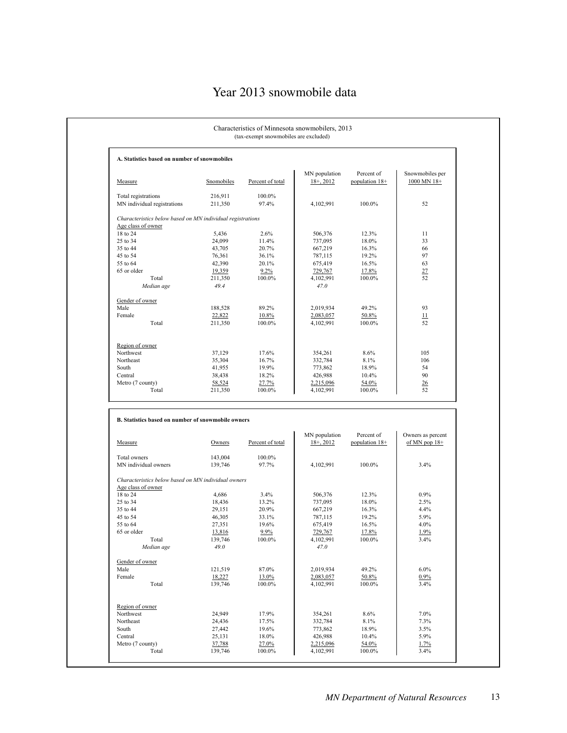# Year 2013 snowmobile data

| A. Statistics based on number of snowmobiles                                                                                                                |                   |                  |                               |                              |                                      |
|-------------------------------------------------------------------------------------------------------------------------------------------------------------|-------------------|------------------|-------------------------------|------------------------------|--------------------------------------|
|                                                                                                                                                             |                   |                  | MN population                 | Percent of                   | Snowmobiles per                      |
| Measure                                                                                                                                                     | Snomobiles        | Percent of total | $18 + 2012$                   | population 18+               | 1000 MN 18+                          |
| Total registrations                                                                                                                                         | 216,911           | 100.0%           |                               |                              |                                      |
| MN individual registrations                                                                                                                                 | 211,350           | 97.4%            | 4,102,991                     | 100.0%                       | 52                                   |
| Characteristics below based on MN individual registrations<br>Age class of owner                                                                            |                   |                  |                               |                              |                                      |
| 18 to 24                                                                                                                                                    | 5,436             | 2.6%             | 506,376                       | 12.3%                        | 11                                   |
| 25 to 34                                                                                                                                                    | 24,099            | 11.4%            | 737,095                       | 18.0%                        | 33                                   |
| 35 to 44                                                                                                                                                    | 43,705            | 20.7%            | 667,219                       | 16.3%                        | 66                                   |
| 45 to 54                                                                                                                                                    | 76,361            | 36.1%            | 787,115                       | 19.2%                        | 97                                   |
| 55 to 64                                                                                                                                                    | 42,390            | 20.1%            | 675,419                       | 16.5%                        | 63                                   |
| 65 or older                                                                                                                                                 | 19,359            | $9.2\%$          | 729,767                       | 17.8%                        | 27                                   |
| Total                                                                                                                                                       | 211,350           | 100.0%           | 4,102,991                     | 100.0%                       | 52                                   |
| Median age                                                                                                                                                  | 49.4              |                  | 47.0                          |                              |                                      |
| Gender of owner                                                                                                                                             |                   |                  |                               |                              |                                      |
| Male                                                                                                                                                        | 188,528           | 89.2%            | 2,019,934                     | 49.2%                        | 93                                   |
| Female                                                                                                                                                      | 22,822            | 10.8%            | 2,083,057                     | 50.8%                        | 11                                   |
| Total                                                                                                                                                       | 211,350           | 100.0%           | 4,102,991                     | 100.0%                       | 52                                   |
|                                                                                                                                                             |                   |                  |                               |                              |                                      |
| Region of owner<br>Northwest                                                                                                                                | 37,129            | 17.6%            | 354,261                       | 8.6%                         | 105                                  |
| Northeast                                                                                                                                                   | 35,304            | 16.7%            | 332,784                       | 8.1%                         | 106                                  |
| South                                                                                                                                                       | 41,955            | 19.9%            | 773,862                       | 18.9%                        | 54                                   |
| Central                                                                                                                                                     | 38,438            | 18.2%            | 426,988                       | 10.4%                        | 90                                   |
|                                                                                                                                                             |                   |                  |                               |                              |                                      |
|                                                                                                                                                             |                   |                  |                               |                              |                                      |
| Total                                                                                                                                                       | 58,524<br>211,350 | 27.7%<br>100.0%  | 2,215,096<br>4,102,991        | 54.0%<br>100.0%              | 26<br>52                             |
|                                                                                                                                                             |                   |                  |                               |                              |                                      |
|                                                                                                                                                             | Owners            | Percent of total | MN population<br>$18+$ , 2012 | Percent of<br>population 18+ | Owners as percent<br>of MN pop $18+$ |
|                                                                                                                                                             | 143,004           | 100.0%           |                               |                              |                                      |
|                                                                                                                                                             | 139,746           | 97.7%            | 4,102,991                     | 100.0%                       | 3.4%                                 |
| Characteristics below based on MN individual owners                                                                                                         |                   |                  |                               |                              |                                      |
| Metro (7 county)<br>B. Statistics based on number of snowmobile owners<br>Measure<br>Total owners<br>MN individual owners<br>Age class of owner<br>18 to 24 | 4,686             | 3.4%             | 506,376                       | 12.3%                        | 0.9%                                 |
| 25 to 34                                                                                                                                                    | 18,436            | 13.2%            | 737,095                       | 18.0%                        | 2.5%                                 |
| 35 to 44                                                                                                                                                    | 29,151            | 20.9%            | 667,219                       | 16.3%                        | 4.4%                                 |
|                                                                                                                                                             | 46,305            | 33.1%            | 787,115                       | 19.2%                        | 5.9%                                 |
| 55 to 64                                                                                                                                                    | 27,351            | 19.6%            | 675,419                       | 16.5%                        | 4.0%                                 |
| 45 to 54<br>65 or older                                                                                                                                     | 13,816            | 9.9%             | 729,767                       | 17.8%                        | 1.9%                                 |
| Total                                                                                                                                                       | 139,746           | 100.0%           | 4,102,991                     | 100.0%                       | 3.4%                                 |
| Median age                                                                                                                                                  | 49.0              |                  | 47.0                          |                              |                                      |
|                                                                                                                                                             |                   |                  |                               |                              |                                      |
|                                                                                                                                                             | 121,519           | 87.0%            | 2,019,934                     | 49.2%                        | 6.0%                                 |
|                                                                                                                                                             | 18,227            | 13.0%            | 2,083,057                     | 50.8%                        | 0.9%                                 |
| Total                                                                                                                                                       | 139,746           | 100.0%           | 4,102,991                     | 100.0%                       | 3.4%                                 |
|                                                                                                                                                             |                   |                  |                               |                              |                                      |
|                                                                                                                                                             | 24,949            | 17.9%            | 354,261                       | 8.6%                         | 7.0%                                 |
| Gender of owner<br>Male<br>Female<br>Region of owner<br>Northwest<br>Northeast                                                                              | 24,436            | 17.5%            | 332,784                       | 8.1%                         | 7.3%                                 |
| South                                                                                                                                                       | 27,442            | 19.6%            | 773,862                       | 18.9%                        | 3.5%                                 |
| Central                                                                                                                                                     | 25,131            | 18.0%            | 426,988                       | 10.4%                        | 5.9%                                 |
| Metro (7 county)                                                                                                                                            | 37,788            | 27.0%            | 2,215,096<br>4,102,991        | 54.0%                        | 1.7%                                 |